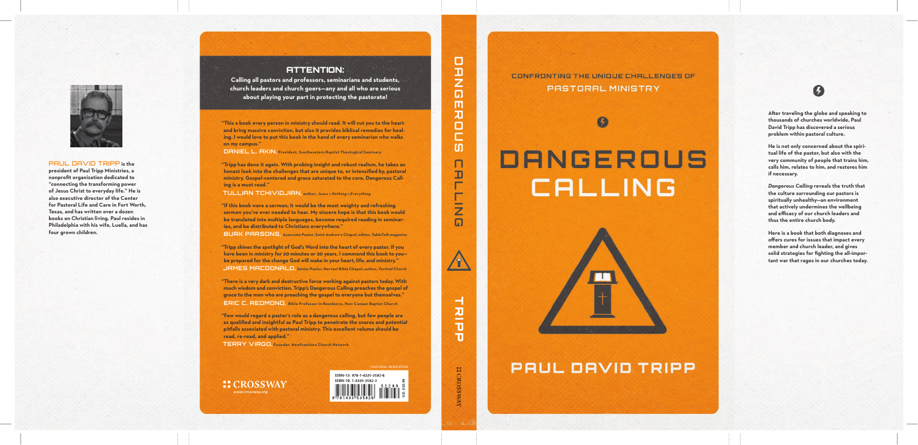CONFRONTING THE UNIQUE CHALLENGES OF PASTORAL MINISTRY

¥

# **DANGEROUS** CALLING



### PAUL DAVID TRIPP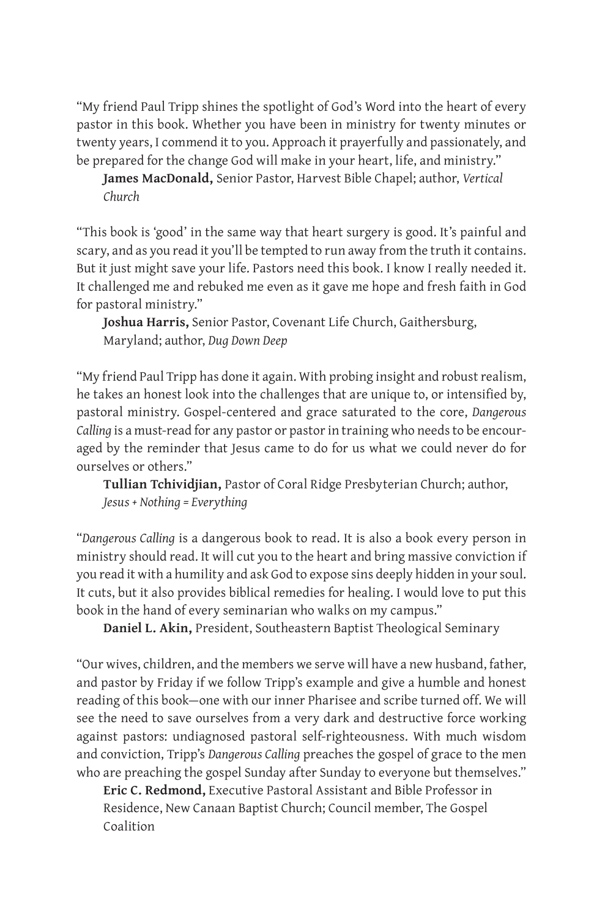"My friend Paul Tripp shines the spotlight of God's Word into the heart of every pastor in this book. Whether you have been in ministry for twenty minutes or twenty years, I commend it to you. Approach it prayerfully and passionately, and be prepared for the change God will make in your heart, life, and ministry."

**James MacDonald,** Senior Pastor, Harvest Bible Chapel; author, *Vertical Church*

"This book is 'good' in the same way that heart surgery is good. It's painful and scary, and as you read it you'll be tempted to run away from the truth it contains. But it just might save your life. Pastors need this book. I know I really needed it. It challenged me and rebuked me even as it gave me hope and fresh faith in God for pastoral ministry."

**Joshua Harris,** Senior Pastor, Covenant Life Church, Gaithersburg, Maryland; author, *Dug Down Deep*

"My friend Paul Tripp has done it again. With probing insight and robust realism, he takes an honest look into the challenges that are unique to, or intensified by, pastoral ministry. Gospel-centered and grace saturated to the core, *Dangerous Calling* is a must-read for any pastor or pastor in training who needs to be encouraged by the reminder that Jesus came to do for us what we could never do for ourselves or others."

**Tullian Tchividjian,** Pastor of Coral Ridge Presbyterian Church; author, *Jesus + Nothing = Everything*

"*Dangerous Calling* is a dangerous book to read. It is also a book every person in ministry should read. It will cut you to the heart and bring massive conviction if you read it with a humility and ask God to expose sins deeply hidden in your soul. It cuts, but it also provides biblical remedies for healing. I would love to put this book in the hand of every seminarian who walks on my campus."

**Daniel L. Akin,** President, Southeastern Baptist Theological Seminary

"Our wives, children, and the members we serve will have a new husband, father, and pastor by Friday if we follow Tripp's example and give a humble and honest reading of this book—one with our inner Pharisee and scribe turned off. We will see the need to save ourselves from a very dark and destructive force working against pastors: undiagnosed pastoral self-righteousness. With much wisdom and conviction, Tripp's *Dangerous Calling* preaches the gospel of grace to the men who are preaching the gospel Sunday after Sunday to everyone but themselves."

**Eric C. Redmond,** Executive Pastoral Assistant and Bible Professor in Residence, New Canaan Baptist Church; Council member, The Gospel Coalition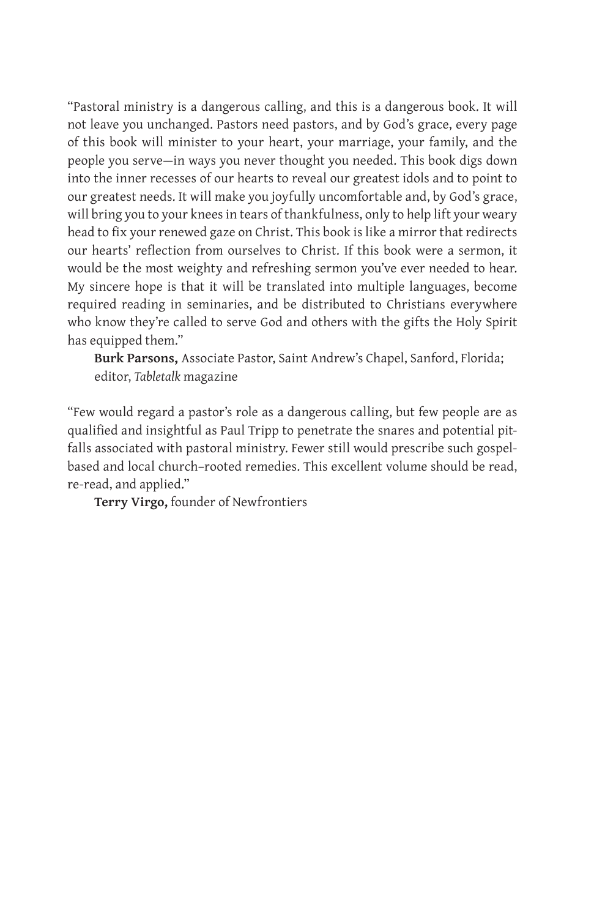"Pastoral ministry is a dangerous calling, and this is a dangerous book. It will not leave you unchanged. Pastors need pastors, and by God's grace, every page of this book will minister to your heart, your marriage, your family, and the people you serve—in ways you never thought you needed. This book digs down into the inner recesses of our hearts to reveal our greatest idols and to point to our greatest needs. It will make you joyfully uncomfortable and, by God's grace, will bring you to your knees in tears of thankfulness, only to help lift your weary head to fix your renewed gaze on Christ. This book is like a mirror that redirects our hearts' reflection from ourselves to Christ. If this book were a sermon, it would be the most weighty and refreshing sermon you've ever needed to hear. My sincere hope is that it will be translated into multiple languages, become required reading in seminaries, and be distributed to Christians everywhere who know they're called to serve God and others with the gifts the Holy Spirit has equipped them."

**Burk Parsons,** Associate Pastor, Saint Andrew's Chapel, Sanford, Florida; editor, Tabletalk magazine

"Few would regard a pastor's role as a dangerous calling, but few people are as qualified and insightful as Paul Tripp to penetrate the snares and potential pitfalls associated with pastoral ministry. Fewer still would prescribe such gospelbased and local church–rooted remedies. This excellent volume should be read, re-read, and applied."

**Terry Virgo,** founder of Newfrontiers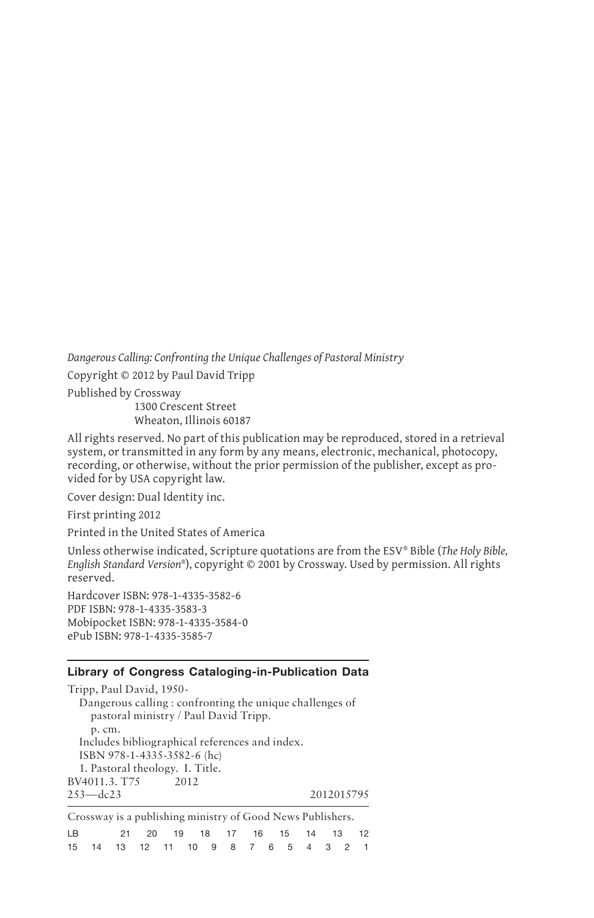*Dangerous Calling: Confronting the Unique Challenges of Pastoral Ministry*

Copyright © 2012 by Paul David Tripp

Published by Crossway 1300 Crescent Street Wheaton, Illinois 60187

All rights reserved. No part of this publication may be reproduced, stored in a retrieval system, or transmitted in any form by any means, electronic, mechanical, photocopy, recording, or otherwise, without the prior permission of the publisher, except as provided for by USA copyright law.

Cover design: Dual Identity inc.

First printing 2012

Printed in the United States of America

Unless otherwise indicated, Scripture quotations are from the ESV® Bible (*The Holy Bible, English Standard Version*®), copyright © 2001 by Crossway. Used by permission. All rights reserved.

Hardcover ISBN: 978-1-4335-3582-6 PDF ISBN: 978-1-4335-3583-3 Mobipocket ISBN: 978-1-4335-3584-0 ePub ISBN: 978-1-4335-3585-7

#### **Library of Congress Cataloging-in-Publication Data**

|                                                                                                  | Tripp, Paul David, 1950-                                                                                                                    |                         |                         |      |  |  |  |  |  |  |  |                |  |                |
|--------------------------------------------------------------------------------------------------|---------------------------------------------------------------------------------------------------------------------------------------------|-------------------------|-------------------------|------|--|--|--|--|--|--|--|----------------|--|----------------|
| Dangerous calling: confronting the unique challenges of<br>pastoral ministry / Paul David Tripp. |                                                                                                                                             |                         |                         |      |  |  |  |  |  |  |  |                |  |                |
|                                                                                                  | p. cm.<br>Includes bibliographical references and index.<br>ISBN 978-1-4335-3582-6 (hc)<br>1. Pastoral theology. I. Title.<br>BV4011.3. T75 |                         |                         | 2012 |  |  |  |  |  |  |  |                |  |                |
|                                                                                                  | $253 - dc23$<br>2012015795                                                                                                                  |                         |                         |      |  |  |  |  |  |  |  |                |  |                |
|                                                                                                  | Crossway is a publishing ministry of Good News Publishers.                                                                                  |                         |                         |      |  |  |  |  |  |  |  |                |  |                |
| LB                                                                                               |                                                                                                                                             | 21                      | 20 19 18 17 16 15 14 13 |      |  |  |  |  |  |  |  |                |  | 12             |
| 15                                                                                               | 14                                                                                                                                          | 13 12 11 10 9 8 7 6 5 4 |                         |      |  |  |  |  |  |  |  | 3 <sub>2</sub> |  | $\overline{1}$ |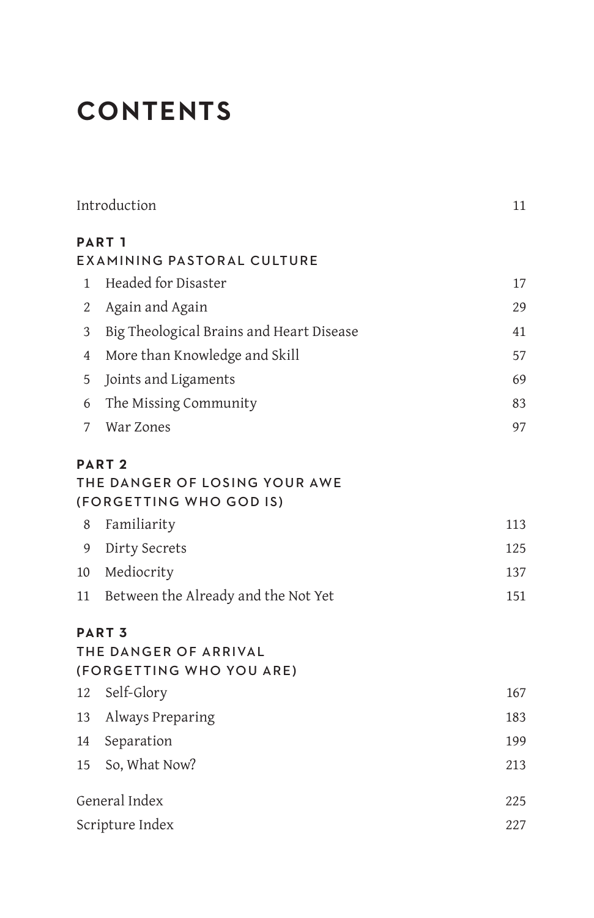### **CONTENTS**

|                | Introduction                                             | 11  |
|----------------|----------------------------------------------------------|-----|
|                | <b>PART 1</b>                                            |     |
|                | EXAMINING PASTORAL CULTURE                               |     |
| $\mathbf{1}$   | Headed for Disaster                                      | 17  |
| 2              | Again and Again                                          | 29  |
| 3              | Big Theological Brains and Heart Disease                 | 41  |
| $\overline{4}$ | More than Knowledge and Skill                            | 57  |
| 5              | Joints and Ligaments                                     | 69  |
| 6              | The Missing Community                                    | 83  |
| 7              | War Zones                                                | 97  |
|                | PART <sub>2</sub>                                        |     |
|                | THE DANGER OF LOSING YOUR AWE<br>(FORGETTING WHO GOD IS) |     |
| 8              | Familiarity                                              | 113 |
| 9              | Dirty Secrets                                            | 125 |
| 10             | Mediocrity                                               | 137 |
| 11             | Between the Already and the Not Yet                      | 151 |
|                | PART <sub>3</sub>                                        |     |
|                | THE DANGER OF ARRIVAL                                    |     |
|                | (FORGETTING WHO YOU ARE)                                 |     |
| 12             | Self-Glory                                               | 167 |
| 13             | Always Preparing                                         | 183 |
| 14             | Separation                                               | 199 |
| 15             | So, What Now?                                            | 213 |
|                | General Index                                            | 225 |
|                | Scripture Index                                          | 227 |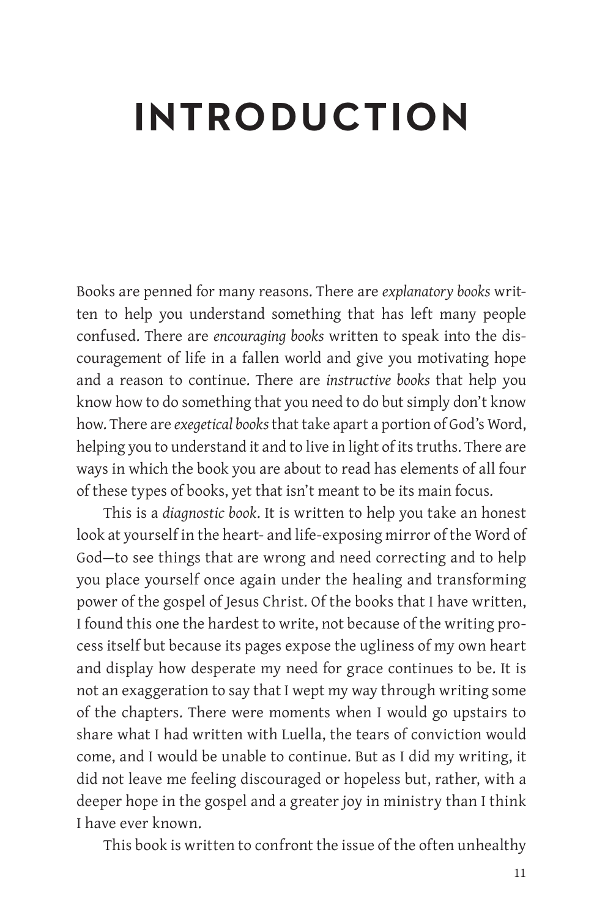# **INTRODUCTION**

Books are penned for many reasons. There are *explanatory books* written to help you understand something that has left many people confused. There are *encouraging books* written to speak into the discouragement of life in a fallen world and give you motivating hope and a reason to continue. There are *instructive books* that help you know how to do something that you need to do but simply don't know how. There are *exegetical books* that take apart a portion of God's Word, helping you to understand it and to live in light of its truths. There are ways in which the book you are about to read has elements of all four of these types of books, yet that isn't meant to be its main focus.

This is a *diagnostic book*. It is written to help you take an honest look at yourself in the heart- and life-exposing mirror of the Word of God—to see things that are wrong and need correcting and to help you place yourself once again under the healing and transforming power of the gospel of Jesus Christ. Of the books that I have written, I found this one the hardest to write, not because of the writing process itself but because its pages expose the ugliness of my own heart and display how desperate my need for grace continues to be. It is not an exaggeration to say that I wept my way through writing some of the chapters. There were moments when I would go upstairs to share what I had written with Luella, the tears of conviction would come, and I would be unable to continue. But as I did my writing, it did not leave me feeling discouraged or hopeless but, rather, with a deeper hope in the gospel and a greater joy in ministry than I think I have ever known.

This book is written to confront the issue of the often unhealthy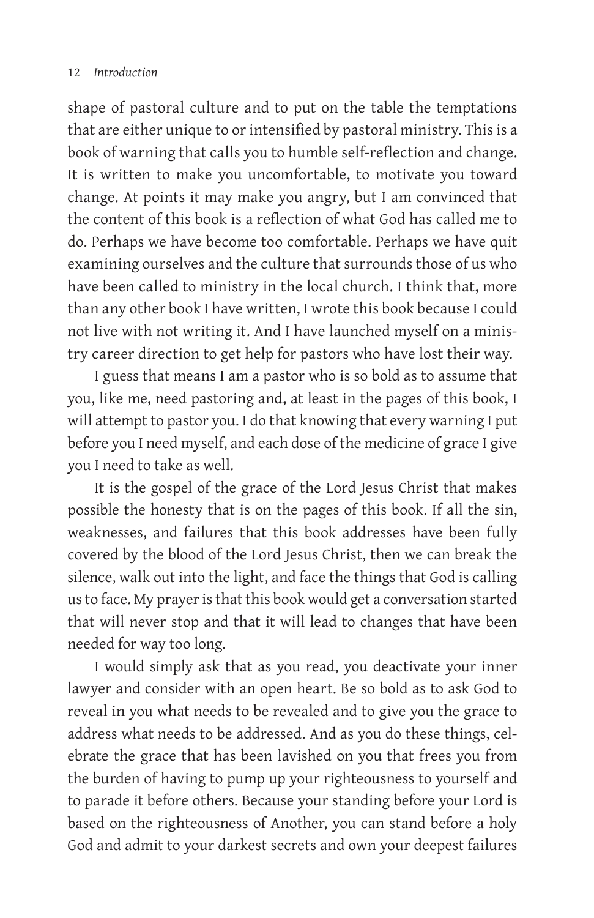shape of pastoral culture and to put on the table the temptations that are either unique to or intensified by pastoral ministry. This is a book of warning that calls you to humble self-reflection and change. It is written to make you uncomfortable, to motivate you toward change. At points it may make you angry, but I am convinced that the content of this book is a reflection of what God has called me to do. Perhaps we have become too comfortable. Perhaps we have quit examining ourselves and the culture that surrounds those of us who have been called to ministry in the local church. I think that, more than any other book I have written, I wrote this book because I could not live with not writing it. And I have launched myself on a ministry career direction to get help for pastors who have lost their way.

I guess that means I am a pastor who is so bold as to assume that you, like me, need pastoring and, at least in the pages of this book, I will attempt to pastor you. I do that knowing that every warning I put before you I need myself, and each dose of the medicine of grace I give you I need to take as well.

It is the gospel of the grace of the Lord Jesus Christ that makes possible the honesty that is on the pages of this book. If all the sin, weaknesses, and failures that this book addresses have been fully covered by the blood of the Lord Jesus Christ, then we can break the silence, walk out into the light, and face the things that God is calling us to face. My prayer is that this book would get a conversation started that will never stop and that it will lead to changes that have been needed for way too long.

I would simply ask that as you read, you deactivate your inner lawyer and consider with an open heart. Be so bold as to ask God to reveal in you what needs to be revealed and to give you the grace to address what needs to be addressed. And as you do these things, celebrate the grace that has been lavished on you that frees you from the burden of having to pump up your righteousness to yourself and to parade it before others. Because your standing before your Lord is based on the righteousness of Another, you can stand before a holy God and admit to your darkest secrets and own your deepest failures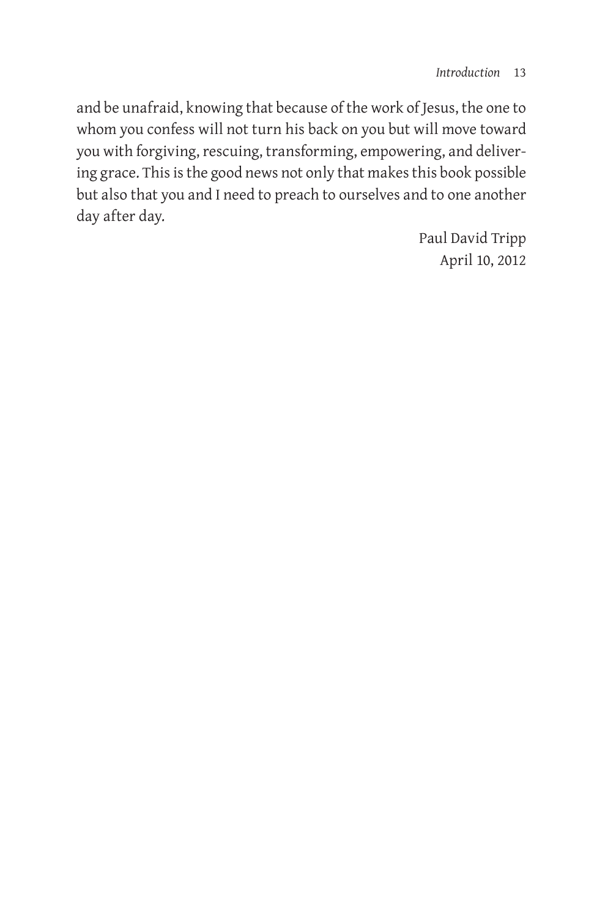and be unafraid, knowing that because of the work of Jesus, the one to whom you confess will not turn his back on you but will move toward you with forgiving, rescuing, transforming, empowering, and delivering grace. This is the good news not only that makes this book possible but also that you and I need to preach to ourselves and to one another day after day.

> Paul David Tripp April 10, 2012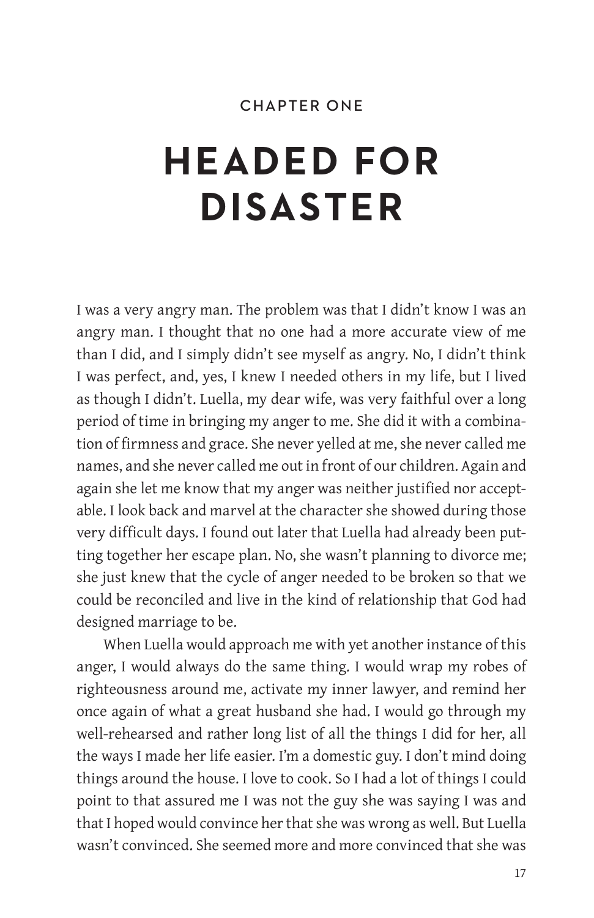# **HEADED FOR DISASTER**

I was a very angry man. The problem was that I didn't know I was an angry man. I thought that no one had a more accurate view of me than I did, and I simply didn't see myself as angry. No, I didn't think I was perfect, and, yes, I knew I needed others in my life, but I lived as though I didn't. Luella, my dear wife, was very faithful over a long period of time in bringing my anger to me. She did it with a combination of firmness and grace. She never yelled at me, she never called me names, and she never called me out in front of our children. Again and again she let me know that my anger was neither justified nor acceptable. I look back and marvel at the character she showed during those very difficult days. I found out later that Luella had already been putting together her escape plan. No, she wasn't planning to divorce me; she just knew that the cycle of anger needed to be broken so that we could be reconciled and live in the kind of relationship that God had designed marriage to be.

When Luella would approach me with yet another instance of this anger, I would always do the same thing. I would wrap my robes of righteousness around me, activate my inner lawyer, and remind her once again of what a great husband she had. I would go through my well-rehearsed and rather long list of all the things I did for her, all the ways I made her life easier. I'm a domestic guy. I don't mind doing things around the house. I love to cook. So I had a lot of things I could point to that assured me I was not the guy she was saying I was and that I hoped would convince her that she was wrong as well. But Luella wasn't convinced. She seemed more and more convinced that she was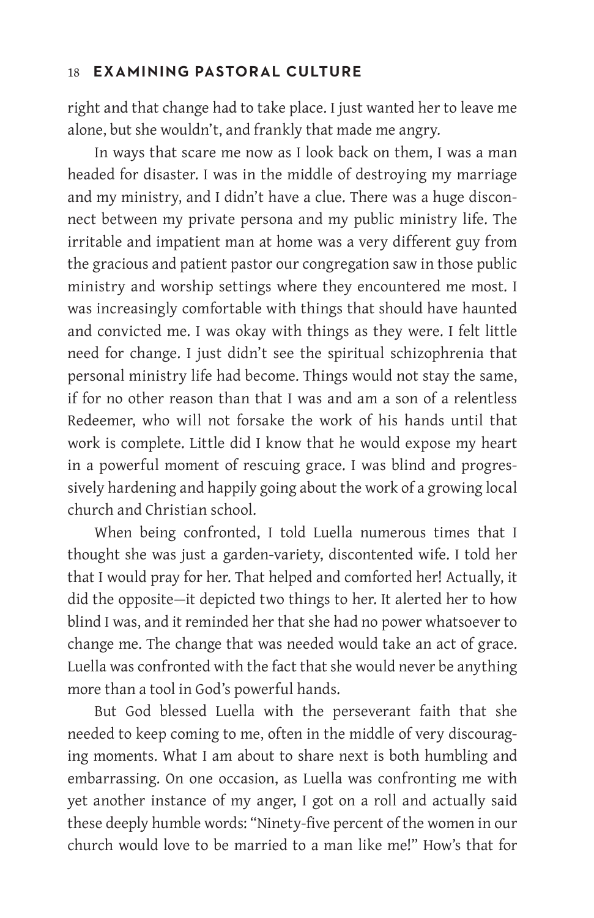right and that change had to take place. I just wanted her to leave me alone, but she wouldn't, and frankly that made me angry.

In ways that scare me now as I look back on them, I was a man headed for disaster. I was in the middle of destroying my marriage and my ministry, and I didn't have a clue. There was a huge disconnect between my private persona and my public ministry life. The irritable and impatient man at home was a very different guy from the gracious and patient pastor our congregation saw in those public ministry and worship settings where they encountered me most. I was increasingly comfortable with things that should have haunted and convicted me. I was okay with things as they were. I felt little need for change. I just didn't see the spiritual schizophrenia that personal ministry life had become. Things would not stay the same, if for no other reason than that I was and am a son of a relentless Redeemer, who will not forsake the work of his hands until that work is complete. Little did I know that he would expose my heart in a powerful moment of rescuing grace. I was blind and progressively hardening and happily going about the work of a growing local church and Christian school.

When being confronted, I told Luella numerous times that I thought she was just a garden-variety, discontented wife. I told her that I would pray for her. That helped and comforted her! Actually, it did the opposite—it depicted two things to her. It alerted her to how blind I was, and it reminded her that she had no power whatsoever to change me. The change that was needed would take an act of grace. Luella was confronted with the fact that she would never be anything more than a tool in God's powerful hands.

But God blessed Luella with the perseverant faith that she needed to keep coming to me, often in the middle of very discouraging moments. What I am about to share next is both humbling and embarrassing. On one occasion, as Luella was confronting me with yet another instance of my anger, I got on a roll and actually said these deeply humble words: "Ninety-five percent of the women in our church would love to be married to a man like me!" How's that for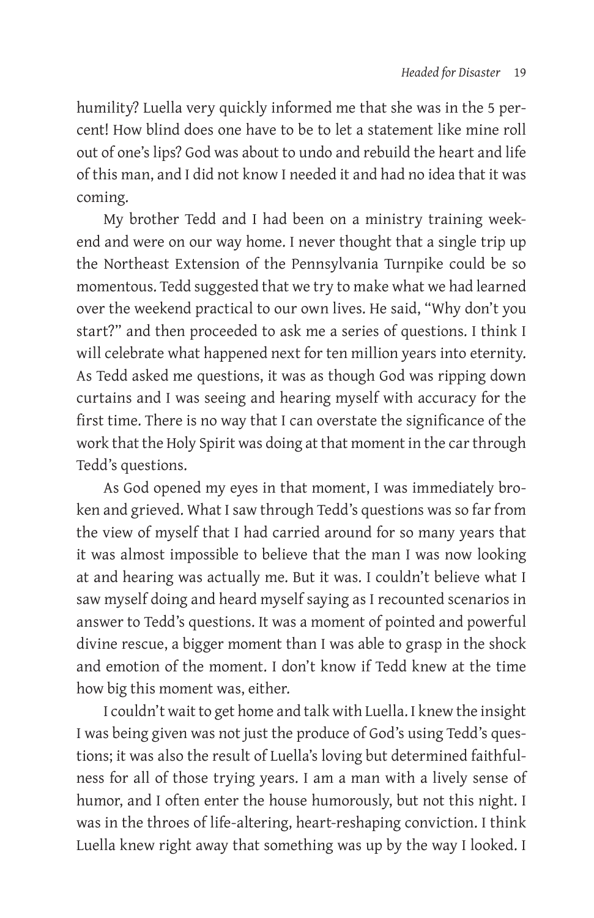humility? Luella very quickly informed me that she was in the 5 percent! How blind does one have to be to let a statement like mine roll out of one's lips? God was about to undo and rebuild the heart and life of this man, and I did not know I needed it and had no idea that it was coming.

My brother Tedd and I had been on a ministry training weekend and were on our way home. I never thought that a single trip up the Northeast Extension of the Pennsylvania Turnpike could be so momentous. Tedd suggested that we try to make what we had learned over the weekend practical to our own lives. He said, "Why don't you start?" and then proceeded to ask me a series of questions. I think I will celebrate what happened next for ten million years into eternity. As Tedd asked me questions, it was as though God was ripping down curtains and I was seeing and hearing myself with accuracy for the first time. There is no way that I can overstate the significance of the work that the Holy Spirit was doing at that moment in the car through Tedd's questions.

As God opened my eyes in that moment, I was immediately broken and grieved. What I saw through Tedd's questions was so far from the view of myself that I had carried around for so many years that it was almost impossible to believe that the man I was now looking at and hearing was actually me. But it was. I couldn't believe what I saw myself doing and heard myself saying as I recounted scenarios in answer to Tedd's questions. It was a moment of pointed and powerful divine rescue, a bigger moment than I was able to grasp in the shock and emotion of the moment. I don't know if Tedd knew at the time how big this moment was, either.

I couldn't wait to get home and talk with Luella. I knew the insight I was being given was not just the produce of God's using Tedd's questions; it was also the result of Luella's loving but determined faithfulness for all of those trying years. I am a man with a lively sense of humor, and I often enter the house humorously, but not this night. I was in the throes of life-altering, heart-reshaping conviction. I think Luella knew right away that something was up by the way I looked. I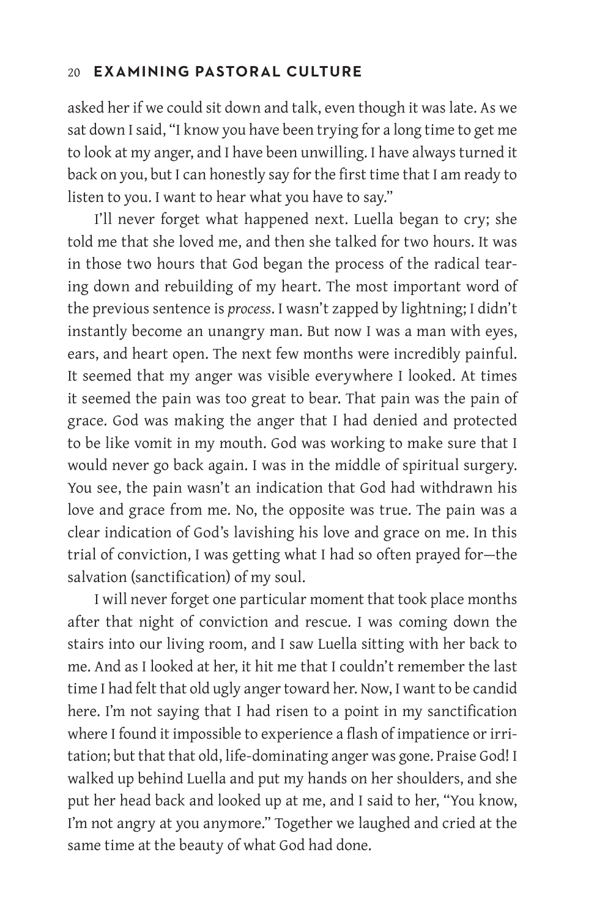asked her if we could sit down and talk, even though it was late. As we sat down I said, "I know you have been trying for a long time to get me to look at my anger, and I have been unwilling. I have always turned it back on you, but I can honestly say for the first time that I am ready to listen to you. I want to hear what you have to say."

I'll never forget what happened next. Luella began to cry; she told me that she loved me, and then she talked for two hours. It was in those two hours that God began the process of the radical tearing down and rebuilding of my heart. The most important word of the previous sentence is *process*. I wasn't zapped by lightning; I didn't instantly become an unangry man. But now I was a man with eyes, ears, and heart open. The next few months were incredibly painful. It seemed that my anger was visible everywhere I looked. At times it seemed the pain was too great to bear. That pain was the pain of grace. God was making the anger that I had denied and protected to be like vomit in my mouth. God was working to make sure that I would never go back again. I was in the middle of spiritual surgery. You see, the pain wasn't an indication that God had withdrawn his love and grace from me. No, the opposite was true. The pain was a clear indication of God's lavishing his love and grace on me. In this trial of conviction, I was getting what I had so often prayed for—the salvation (sanctification) of my soul.

I will never forget one particular moment that took place months after that night of conviction and rescue. I was coming down the stairs into our living room, and I saw Luella sitting with her back to me. And as I looked at her, it hit me that I couldn't remember the last time I had felt that old ugly anger toward her. Now, I want to be candid here. I'm not saying that I had risen to a point in my sanctification where I found it impossible to experience a flash of impatience or irritation; but that that old, life-dominating anger was gone. Praise God! I walked up behind Luella and put my hands on her shoulders, and she put her head back and looked up at me, and I said to her, "You know, I'm not angry at you anymore." Together we laughed and cried at the same time at the beauty of what God had done.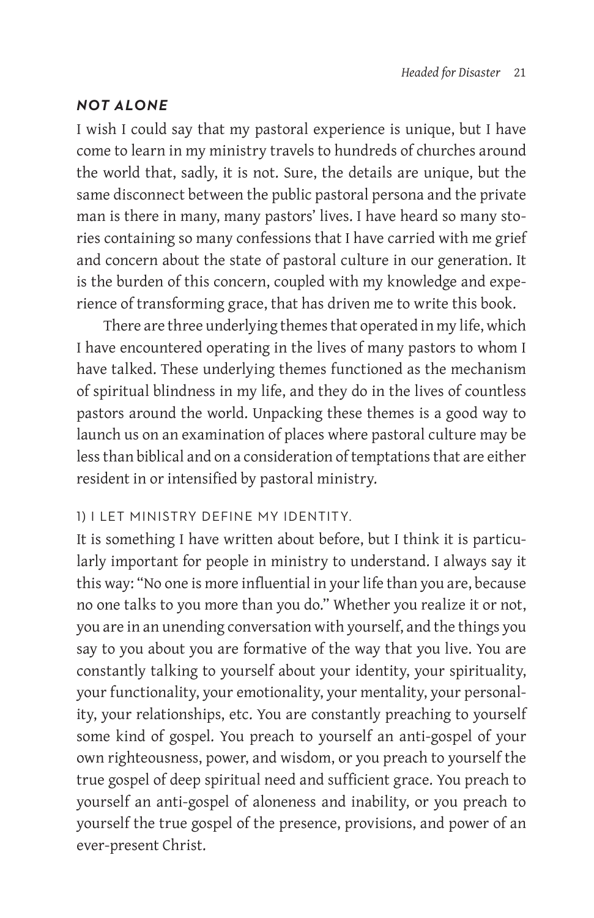#### *NOT ALONE*

I wish I could say that my pastoral experience is unique, but I have come to learn in my ministry travels to hundreds of churches around the world that, sadly, it is not. Sure, the details are unique, but the same disconnect between the public pastoral persona and the private man is there in many, many pastors' lives. I have heard so many stories containing so many confessions that I have carried with me grief and concern about the state of pastoral culture in our generation. It is the burden of this concern, coupled with my knowledge and experience of transforming grace, that has driven me to write this book.

There are three underlying themes that operated in my life, which I have encountered operating in the lives of many pastors to whom I have talked. These underlying themes functioned as the mechanism of spiritual blindness in my life, and they do in the lives of countless pastors around the world. Unpacking these themes is a good way to launch us on an examination of places where pastoral culture may be less than biblical and on a consideration of temptations that are either resident in or intensified by pastoral ministry.

#### 1) I LET MINISTRY DEFINE MY IDENTITY.

It is something I have written about before, but I think it is particularly important for people in ministry to understand. I always say it this way: "No one is more influential in your life than you are, because no one talks to you more than you do." Whether you realize it or not, you are in an unending conversation with yourself, and the things you say to you about you are formative of the way that you live. You are constantly talking to yourself about your identity, your spirituality, your functionality, your emotionality, your mentality, your personality, your relationships, etc. You are constantly preaching to yourself some kind of gospel. You preach to yourself an anti-gospel of your own righteousness, power, and wisdom, or you preach to yourself the true gospel of deep spiritual need and sufficient grace. You preach to yourself an anti-gospel of aloneness and inability, or you preach to yourself the true gospel of the presence, provisions, and power of an ever-present Christ.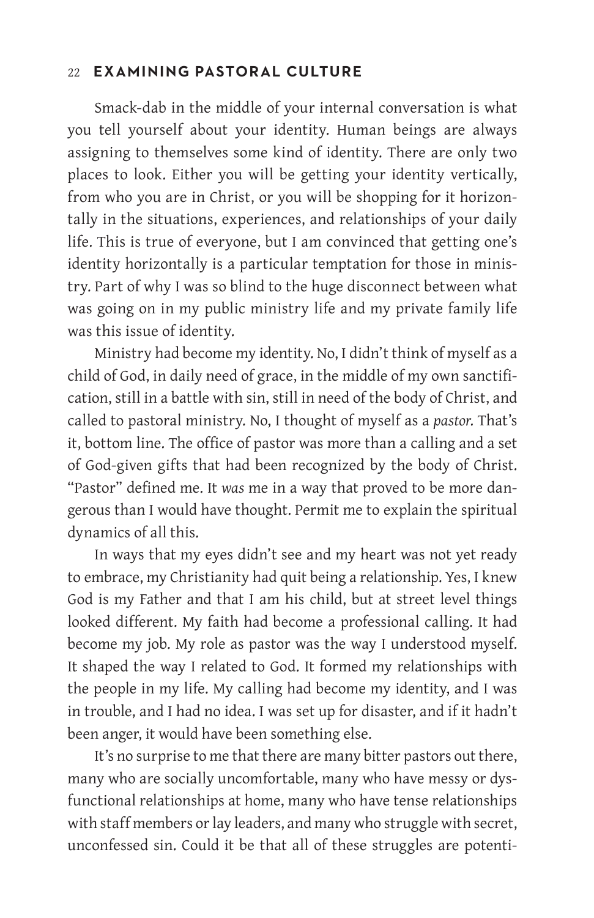Smack-dab in the middle of your internal conversation is what you tell yourself about your identity. Human beings are always assigning to themselves some kind of identity. There are only two places to look. Either you will be getting your identity vertically, from who you are in Christ, or you will be shopping for it horizontally in the situations, experiences, and relationships of your daily life. This is true of everyone, but I am convinced that getting one's identity horizontally is a particular temptation for those in ministry. Part of why I was so blind to the huge disconnect between what was going on in my public ministry life and my private family life was this issue of identity.

Ministry had become my identity. No, I didn't think of myself as a child of God, in daily need of grace, in the middle of my own sanctification, still in a battle with sin, still in need of the body of Christ, and called to pastoral ministry. No, I thought of myself as a *pastor*. That's it, bottom line. The office of pastor was more than a calling and a set of God-given gifts that had been recognized by the body of Christ. "Pastor" defined me. It was me in a way that proved to be more dangerous than I would have thought. Permit me to explain the spiritual dynamics of all this.

In ways that my eyes didn't see and my heart was not yet ready to embrace, my Christianity had quit being a relationship. Yes, I knew God is my Father and that I am his child, but at street level things looked different. My faith had become a professional calling. It had become my job. My role as pastor was the way I understood myself. It shaped the way I related to God. It formed my relationships with the people in my life. My calling had become my identity, and I was in trouble, and I had no idea. I was set up for disaster, and if it hadn't been anger, it would have been something else.

It's no surprise to me that there are many bitter pastors out there, many who are socially uncomfortable, many who have messy or dysfunctional relationships at home, many who have tense relationships with staff members or lay leaders, and many who struggle with secret, unconfessed sin. Could it be that all of these struggles are potenti-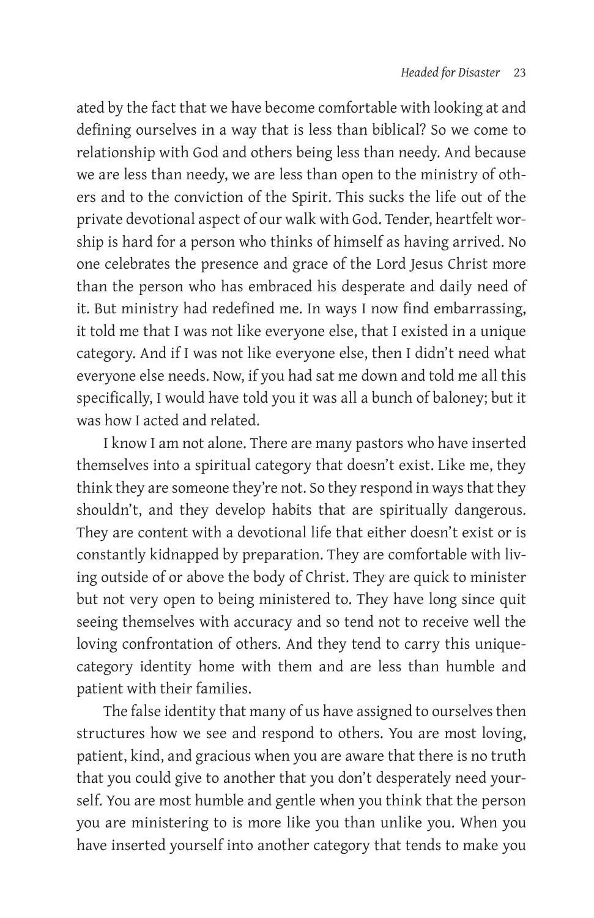ated by the fact that we have become comfortable with looking at and defining ourselves in a way that is less than biblical? So we come to relationship with God and others being less than needy. And because we are less than needy, we are less than open to the ministry of others and to the conviction of the Spirit. This sucks the life out of the private devotional aspect of our walk with God. Tender, heartfelt worship is hard for a person who thinks of himself as having arrived. No one celebrates the presence and grace of the Lord Jesus Christ more than the person who has embraced his desperate and daily need of it. But ministry had redefined me. In ways I now find embarrassing, it told me that I was not like everyone else, that I existed in a unique category. And if I was not like everyone else, then I didn't need what everyone else needs. Now, if you had sat me down and told me all this specifically, I would have told you it was all a bunch of baloney; but it was how I acted and related.

I know I am not alone. There are many pastors who have inserted themselves into a spiritual category that doesn't exist. Like me, they think they are someone they're not. So they respond in ways that they shouldn't, and they develop habits that are spiritually dangerous. They are content with a devotional life that either doesn't exist or is constantly kidnapped by preparation. They are comfortable with living outside of or above the body of Christ. They are quick to minister but not very open to being ministered to. They have long since quit seeing themselves with accuracy and so tend not to receive well the loving confrontation of others. And they tend to carry this uniquecategory identity home with them and are less than humble and patient with their families.

The false identity that many of us have assigned to ourselves then structures how we see and respond to others. You are most loving, patient, kind, and gracious when you are aware that there is no truth that you could give to another that you don't desperately need yourself. You are most humble and gentle when you think that the person you are ministering to is more like you than unlike you. When you have inserted yourself into another category that tends to make you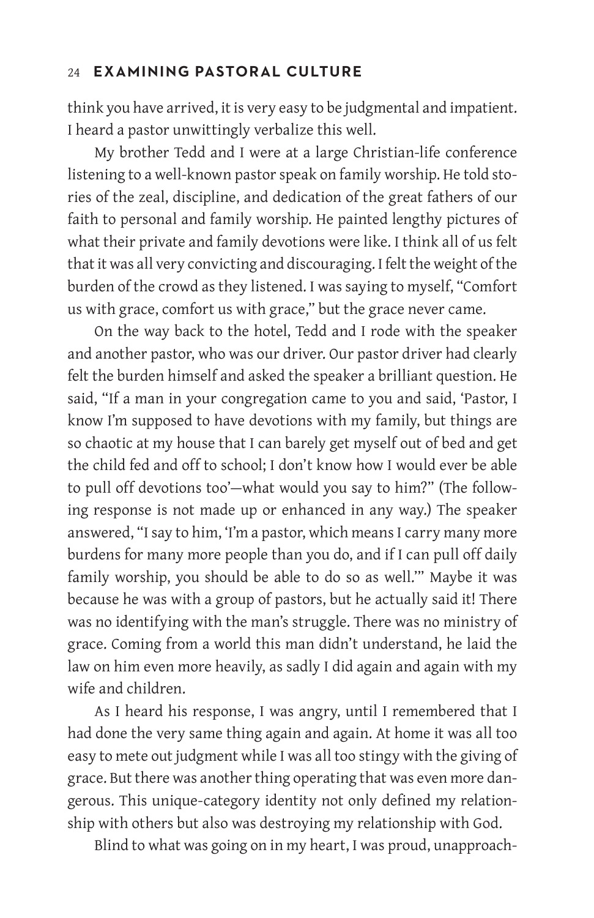think you have arrived, it is very easy to be judgmental and impatient. I heard a pastor unwittingly verbalize this well.

My brother Tedd and I were at a large Christian-life conference listening to a well-known pastor speak on family worship. He told stories of the zeal, discipline, and dedication of the great fathers of our faith to personal and family worship. He painted lengthy pictures of what their private and family devotions were like. I think all of us felt that it was all very convicting and discouraging. I felt the weight of the burden of the crowd as they listened. I was saying to myself, "Comfort us with grace, comfort us with grace," but the grace never came.

On the way back to the hotel, Tedd and I rode with the speaker and another pastor, who was our driver. Our pastor driver had clearly felt the burden himself and asked the speaker a brilliant question. He said, "If a man in your congregation came to you and said, 'Pastor, I know I'm supposed to have devotions with my family, but things are so chaotic at my house that I can barely get myself out of bed and get the child fed and off to school; I don't know how I would ever be able to pull off devotions too'—what would you say to him?" (The following response is not made up or enhanced in any way.) The speaker answered, "I say to him, 'I'm a pastor, which means I carry many more burdens for many more people than you do, and if I can pull off daily family worship, you should be able to do so as well.'" Maybe it was because he was with a group of pastors, but he actually said it! There was no identifying with the man's struggle. There was no ministry of grace. Coming from a world this man didn't understand, he laid the law on him even more heavily, as sadly I did again and again with my wife and children.

As I heard his response, I was angry, until I remembered that I had done the very same thing again and again. At home it was all too easy to mete out judgment while I was all too stingy with the giving of grace. But there was another thing operating that was even more dangerous. This unique-category identity not only defined my relationship with others but also was destroying my relationship with God.

Blind to what was going on in my heart, I was proud, unapproach-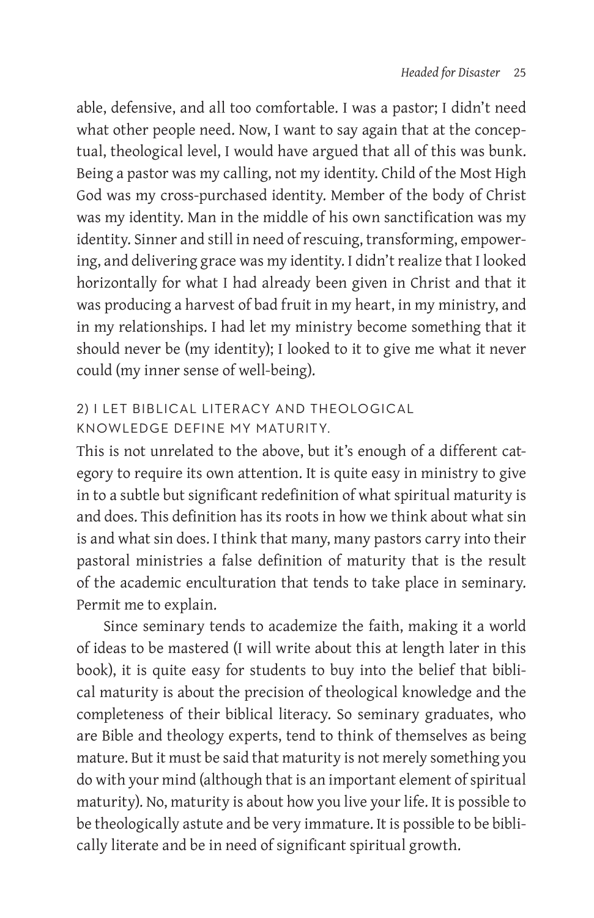able, defensive, and all too comfortable. I was a pastor; I didn't need what other people need. Now, I want to say again that at the conceptual, theological level, I would have argued that all of this was bunk. Being a pastor was my calling, not my identity. Child of the Most High God was my cross-purchased identity. Member of the body of Christ was my identity. Man in the middle of his own sanctification was my identity. Sinner and still in need of rescuing, transforming, empowering, and delivering grace was my identity. I didn't realize that I looked horizontally for what I had already been given in Christ and that it was producing a harvest of bad fruit in my heart, in my ministry, and in my relationships. I had let my ministry become something that it should never be (my identity); I looked to it to give me what it never could (my inner sense of well-being).

#### 2) I LET BIBLICAL LITERACY AND THEOLOGICAL KNOWLEDGE DEFINE MY MATURITY.

This is not unrelated to the above, but it's enough of a different category to require its own attention. It is quite easy in ministry to give in to a subtle but significant redefinition of what spiritual maturity is and does. This definition has its roots in how we think about what sin is and what sin does. I think that many, many pastors carry into their pastoral ministries a false definition of maturity that is the result of the academic enculturation that tends to take place in seminary. Permit me to explain.

Since seminary tends to academize the faith, making it a world of ideas to be mastered (I will write about this at length later in this book), it is quite easy for students to buy into the belief that biblical maturity is about the precision of theological knowledge and the completeness of their biblical literacy. So seminary graduates, who are Bible and theology experts, tend to think of themselves as being mature. But it must be said that maturity is not merely something you do with your mind (although that is an important element of spiritual maturity). No, maturity is about how you live your life. It is possible to be theologically astute and be very immature. It is possible to be biblically literate and be in need of significant spiritual growth.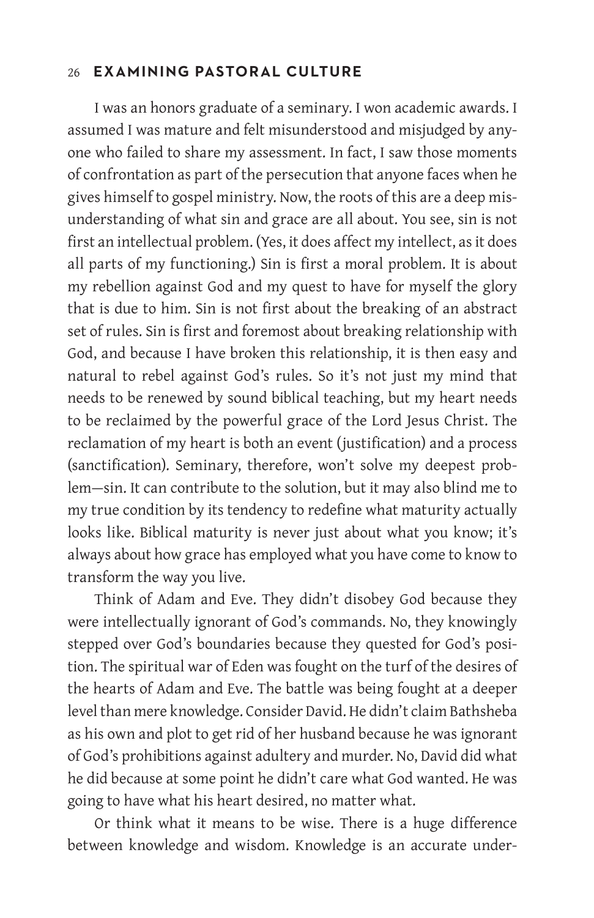I was an honors graduate of a seminary. I won academic awards. I assumed I was mature and felt misunderstood and misjudged by anyone who failed to share my assessment. In fact, I saw those moments of confrontation as part of the persecution that anyone faces when he gives himself to gospel ministry. Now, the roots of this are a deep misunderstanding of what sin and grace are all about. You see, sin is not first an intellectual problem. (Yes, it does affect my intellect, as it does all parts of my functioning.) Sin is first a moral problem. It is about my rebellion against God and my quest to have for myself the glory that is due to him. Sin is not first about the breaking of an abstract set of rules. Sin is first and foremost about breaking relationship with God, and because I have broken this relationship, it is then easy and natural to rebel against God's rules. So it's not just my mind that needs to be renewed by sound biblical teaching, but my heart needs to be reclaimed by the powerful grace of the Lord Jesus Christ. The reclamation of my heart is both an event (justification) and a process (sanctification). Seminary, therefore, won't solve my deepest problem—sin. It can contribute to the solution, but it may also blind me to my true condition by its tendency to redefine what maturity actually looks like. Biblical maturity is never just about what you know; it's always about how grace has employed what you have come to know to transform the way you live.

Think of Adam and Eve. They didn't disobey God because they were intellectually ignorant of God's commands. No, they knowingly stepped over God's boundaries because they quested for God's position. The spiritual war of Eden was fought on the turf of the desires of the hearts of Adam and Eve. The battle was being fought at a deeper level than mere knowledge. Consider David. He didn't claim Bathsheba as his own and plot to get rid of her husband because he was ignorant of God's prohibitions against adultery and murder. No, David did what he did because at some point he didn't care what God wanted. He was going to have what his heart desired, no matter what.

Or think what it means to be wise. There is a huge difference between knowledge and wisdom. Knowledge is an accurate under-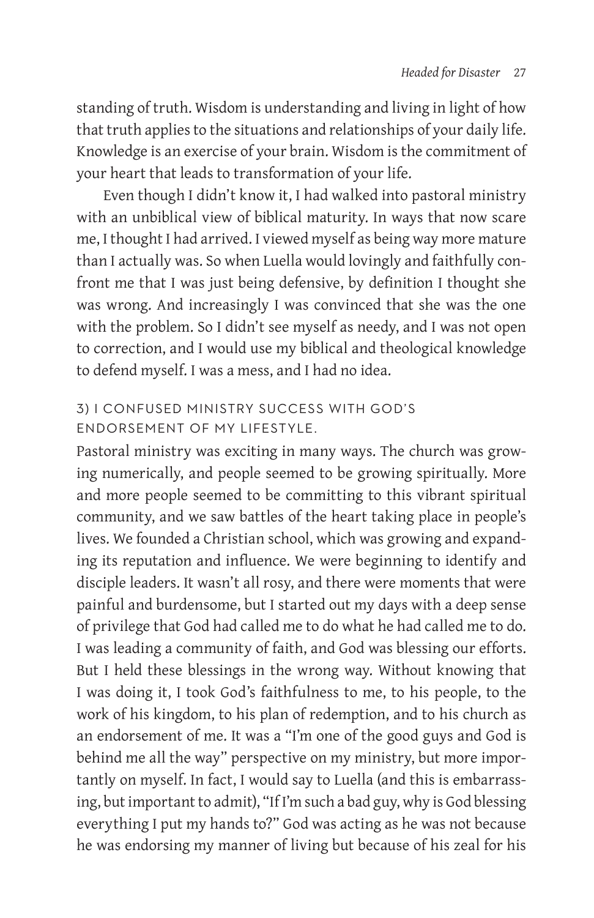standing of truth. Wisdom is understanding and living in light of how that truth applies to the situations and relationships of your daily life. Knowledge is an exercise of your brain. Wisdom is the commitment of your heart that leads to transformation of your life.

Even though I didn't know it, I had walked into pastoral ministry with an unbiblical view of biblical maturity. In ways that now scare me, I thought I had arrived. I viewed myself as being way more mature than I actually was. So when Luella would lovingly and faithfully confront me that I was just being defensive, by definition I thought she was wrong. And increasingly I was convinced that she was the one with the problem. So I didn't see myself as needy, and I was not open to correction, and I would use my biblical and theological knowledge to defend myself. I was a mess, and I had no idea.

#### 3) I CONFUSED MINISTRY SUCCESS WITH GOD'S ENDORSEMENT OF MY LIFESTYLE.

Pastoral ministry was exciting in many ways. The church was growing numerically, and people seemed to be growing spiritually. More and more people seemed to be committing to this vibrant spiritual community, and we saw battles of the heart taking place in people's lives. We founded a Christian school, which was growing and expanding its reputation and influence. We were beginning to identify and disciple leaders. It wasn't all rosy, and there were moments that were painful and burdensome, but I started out my days with a deep sense of privilege that God had called me to do what he had called me to do. I was leading a community of faith, and God was blessing our efforts. But I held these blessings in the wrong way. Without knowing that I was doing it, I took God's faithfulness to me, to his people, to the work of his kingdom, to his plan of redemption, and to his church as an endorsement of me. It was a "I'm one of the good guys and God is behind me all the way" perspective on my ministry, but more importantly on myself. In fact, I would say to Luella (and this is embarrassing, but important to admit), "If I'm such a bad guy, why is God blessing everything I put my hands to?" God was acting as he was not because he was endorsing my manner of living but because of his zeal for his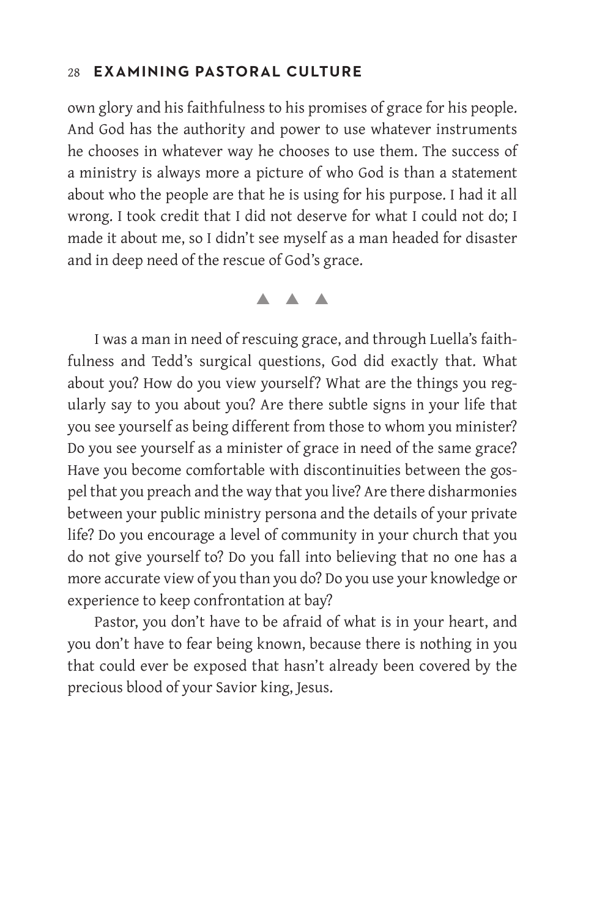own glory and his faithfulness to his promises of grace for his people. And God has the authority and power to use whatever instruments he chooses in whatever way he chooses to use them. The success of a ministry is always more a picture of who God is than a statement about who the people are that he is using for his purpose. I had it all wrong. I took credit that I did not deserve for what I could not do; I made it about me, so I didn't see myself as a man headed for disaster and in deep need of the rescue of God's grace.

#### ▲▲▲

I was a man in need of rescuing grace, and through Luella's faithfulness and Tedd's surgical questions, God did exactly that. What about you? How do you view yourself? What are the things you regularly say to you about you? Are there subtle signs in your life that you see yourself as being different from those to whom you minister? Do you see yourself as a minister of grace in need of the same grace? Have you become comfortable with discontinuities between the gospel that you preach and the way that you live? Are there disharmonies between your public ministry persona and the details of your private life? Do you encourage a level of community in your church that you do not give yourself to? Do you fall into believing that no one has a more accurate view of you than you do? Do you use your knowledge or experience to keep confrontation at bay?

Pastor, you don't have to be afraid of what is in your heart, and you don't have to fear being known, because there is nothing in you that could ever be exposed that hasn't already been covered by the precious blood of your Savior king, Jesus.